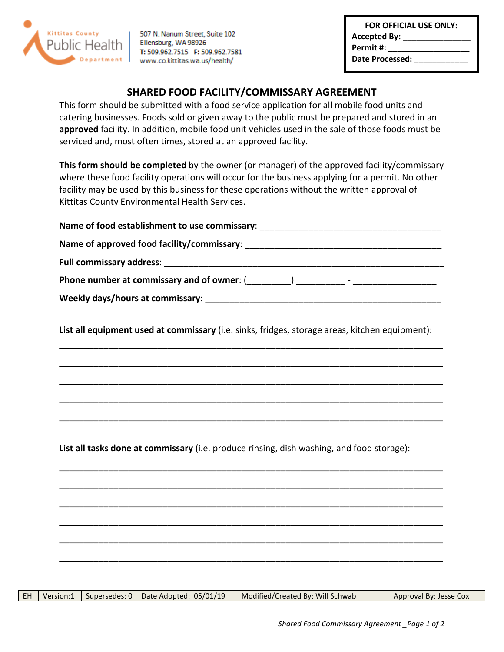

507 N. Nanum Street, Suite 102 Ellensburg, WA 98926 T: 509.962.7515 F: 509.962.7581 www.co.kittitas.wa.us/health/

| FOR OFFICIAL USE ONLY: |
|------------------------|
| Accepted By: ___       |
| Permit #:              |
| Date Processed:        |

# **SHARED FOOD FACILITY/COMMISSARY AGREEMENT**

This form should be submitted with a food service application for all mobile food units and catering businesses. Foods sold or given away to the public must be prepared and stored in an **approved** facility. In addition, mobile food unit vehicles used in the sale of those foods must be serviced and, most often times, stored at an approved facility.

**This form should be completed** by the owner (or manager) of the approved facility/commissary where these food facility operations will occur for the business applying for a permit. No other facility may be used by this business for these operations without the written approval of Kittitas County Environmental Health Services.

| Name of food establishment to use commissary: __________________________________                                                                                                                                               |
|--------------------------------------------------------------------------------------------------------------------------------------------------------------------------------------------------------------------------------|
|                                                                                                                                                                                                                                |
|                                                                                                                                                                                                                                |
| Phone number at commissary and of owner: ( ) The common set of the set of the set of the set of the set of the set of the set of the set of the set of the set of the set of the set of the set of the set of the set of the s |
|                                                                                                                                                                                                                                |

**List all equipment used at commissary** (i.e. sinks, fridges, storage areas, kitchen equipment):

\_\_\_\_\_\_\_\_\_\_\_\_\_\_\_\_\_\_\_\_\_\_\_\_\_\_\_\_\_\_\_\_\_\_\_\_\_\_\_\_\_\_\_\_\_\_\_\_\_\_\_\_\_\_\_\_\_\_\_\_\_\_\_\_\_\_\_\_\_\_\_\_\_\_\_\_\_\_

\_\_\_\_\_\_\_\_\_\_\_\_\_\_\_\_\_\_\_\_\_\_\_\_\_\_\_\_\_\_\_\_\_\_\_\_\_\_\_\_\_\_\_\_\_\_\_\_\_\_\_\_\_\_\_\_\_\_\_\_\_\_\_\_\_\_\_\_\_\_\_\_\_\_\_\_\_\_

\_\_\_\_\_\_\_\_\_\_\_\_\_\_\_\_\_\_\_\_\_\_\_\_\_\_\_\_\_\_\_\_\_\_\_\_\_\_\_\_\_\_\_\_\_\_\_\_\_\_\_\_\_\_\_\_\_\_\_\_\_\_\_\_\_\_\_\_\_\_\_\_\_\_\_\_\_\_

\_\_\_\_\_\_\_\_\_\_\_\_\_\_\_\_\_\_\_\_\_\_\_\_\_\_\_\_\_\_\_\_\_\_\_\_\_\_\_\_\_\_\_\_\_\_\_\_\_\_\_\_\_\_\_\_\_\_\_\_\_\_\_\_\_\_\_\_\_\_\_\_\_\_\_\_\_\_

\_\_\_\_\_\_\_\_\_\_\_\_\_\_\_\_\_\_\_\_\_\_\_\_\_\_\_\_\_\_\_\_\_\_\_\_\_\_\_\_\_\_\_\_\_\_\_\_\_\_\_\_\_\_\_\_\_\_\_\_\_\_\_\_\_\_\_\_\_\_\_\_\_\_\_\_\_\_

\_\_\_\_\_\_\_\_\_\_\_\_\_\_\_\_\_\_\_\_\_\_\_\_\_\_\_\_\_\_\_\_\_\_\_\_\_\_\_\_\_\_\_\_\_\_\_\_\_\_\_\_\_\_\_\_\_\_\_\_\_\_\_\_\_\_\_\_\_\_\_\_\_\_\_\_\_\_

\_\_\_\_\_\_\_\_\_\_\_\_\_\_\_\_\_\_\_\_\_\_\_\_\_\_\_\_\_\_\_\_\_\_\_\_\_\_\_\_\_\_\_\_\_\_\_\_\_\_\_\_\_\_\_\_\_\_\_\_\_\_\_\_\_\_\_\_\_\_\_\_\_\_\_\_\_\_

\_\_\_\_\_\_\_\_\_\_\_\_\_\_\_\_\_\_\_\_\_\_\_\_\_\_\_\_\_\_\_\_\_\_\_\_\_\_\_\_\_\_\_\_\_\_\_\_\_\_\_\_\_\_\_\_\_\_\_\_\_\_\_\_\_\_\_\_\_\_\_\_\_\_\_\_\_\_

\_\_\_\_\_\_\_\_\_\_\_\_\_\_\_\_\_\_\_\_\_\_\_\_\_\_\_\_\_\_\_\_\_\_\_\_\_\_\_\_\_\_\_\_\_\_\_\_\_\_\_\_\_\_\_\_\_\_\_\_\_\_\_\_\_\_\_\_\_\_\_\_\_\_\_\_\_\_

\_\_\_\_\_\_\_\_\_\_\_\_\_\_\_\_\_\_\_\_\_\_\_\_\_\_\_\_\_\_\_\_\_\_\_\_\_\_\_\_\_\_\_\_\_\_\_\_\_\_\_\_\_\_\_\_\_\_\_\_\_\_\_\_\_\_\_\_\_\_\_\_\_\_\_\_\_\_

\_\_\_\_\_\_\_\_\_\_\_\_\_\_\_\_\_\_\_\_\_\_\_\_\_\_\_\_\_\_\_\_\_\_\_\_\_\_\_\_\_\_\_\_\_\_\_\_\_\_\_\_\_\_\_\_\_\_\_\_\_\_\_\_\_\_\_\_\_\_\_\_\_\_\_\_\_\_

**List all tasks done at commissary** (i.e. produce rinsing, dish washing, and food storage):

| Modified/Created By: Will Schwab<br>  EH   Version:1   Supersedes: 0   Date Adopted: 05/01/19<br>Approval By: Jesse Cox |
|-------------------------------------------------------------------------------------------------------------------------|
|-------------------------------------------------------------------------------------------------------------------------|